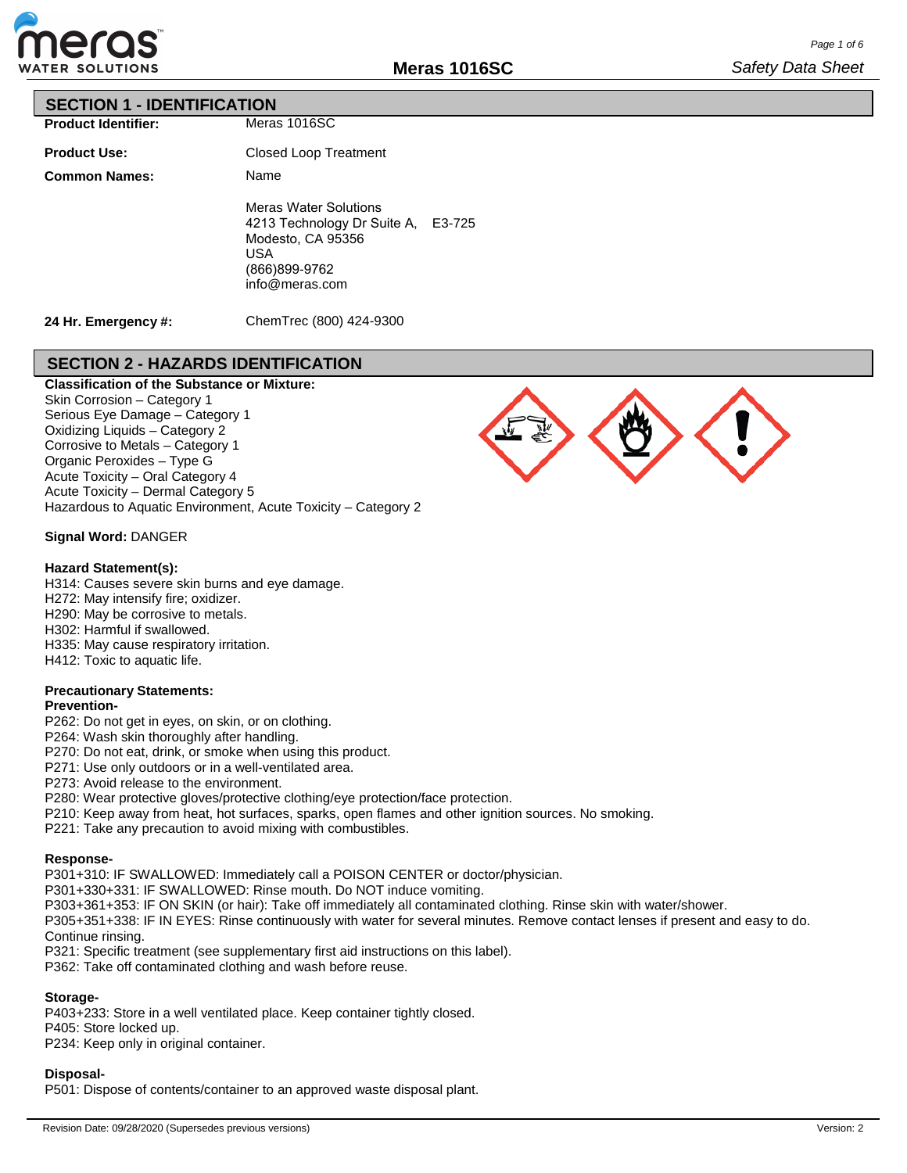

### **SECTION 1 - IDENTIFICATION**

| <b>Product Identifier:</b> |
|----------------------------|
|                            |

| <b>Product Use:</b>  |
|----------------------|
| <b>Common Names:</b> |

Meras 1016SC

Closed Loop Treatment Name Meras Water Solutions 4213 Technology Dr Suite A, E3-725 Modesto, CA 95356 USA (866)899-9762 info@meras.com

**24 Hr. Emergency #:**

ChemTrec (800) 424-9300

# **SECTION 2 - HAZARDS IDENTIFICATION**

**Classification of the Substance or Mixture:** Skin Corrosion – Category 1 Serious Eye Damage – Category 1 Oxidizing Liquids – Category 2 Corrosive to Metals – Category 1 Organic Peroxides – Type G Acute Toxicity – Oral Category 4 Acute Toxicity – Dermal Category 5 Hazardous to Aquatic Environment, Acute Toxicity – Category 2

### **Signal Word:** DANGER

#### **Hazard Statement(s):**

H314: Causes severe skin burns and eye damage.

H272: May intensify fire; oxidizer.

H290: May be corrosive to metals.

H302: Harmful if swallowed.

H335: May cause respiratory irritation.

H412: Toxic to aquatic life.

# **Precautionary Statements:**

### **Prevention-**

P262: Do not get in eyes, on skin, or on clothing.

P264: Wash skin thoroughly after handling.

P270: Do not eat, drink, or smoke when using this product.

P271: Use only outdoors or in a well-ventilated area.

P273: Avoid release to the environment.

P280: Wear protective gloves/protective clothing/eye protection/face protection.

P210: Keep away from heat, hot surfaces, sparks, open flames and other ignition sources. No smoking.

P221: Take any precaution to avoid mixing with combustibles.

#### **Response-**

P301+310: IF SWALLOWED: Immediately call a POISON CENTER or doctor/physician.

P301+330+331: IF SWALLOWED: Rinse mouth. Do NOT induce vomiting.

P303+361+353: IF ON SKIN (or hair): Take off immediately all contaminated clothing. Rinse skin with water/shower.

P305+351+338: IF IN EYES: Rinse continuously with water for several minutes. Remove contact lenses if present and easy to do. Continue rinsing.

P321: Specific treatment (see supplementary first aid instructions on this label).

P362: Take off contaminated clothing and wash before reuse.

#### **Storage-**

P403+233: Store in a well ventilated place. Keep container tightly closed. P405: Store locked up. P234: Keep only in original container.

#### **Disposal-**

P501: Dispose of contents/container to an approved waste disposal plant.

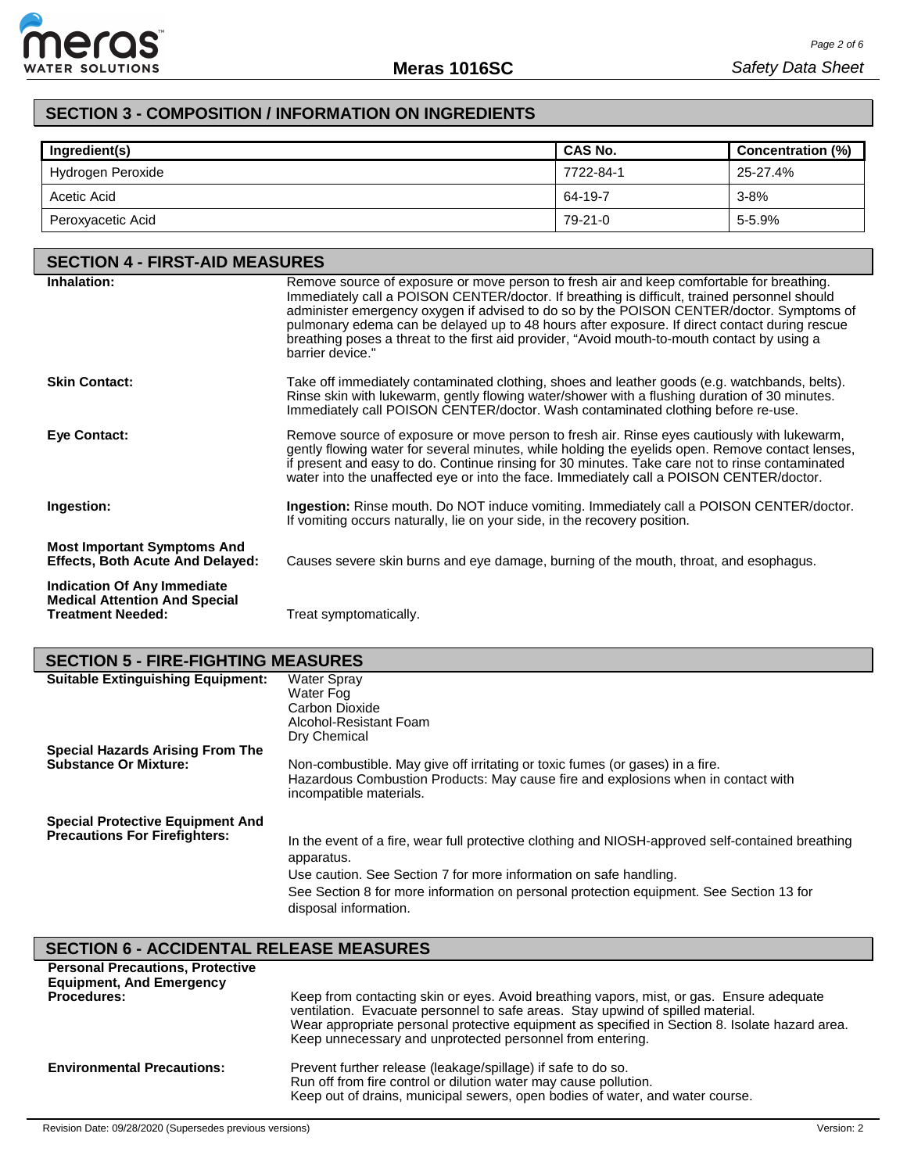

# **SECTION 3 - COMPOSITION / INFORMATION ON INGREDIENTS**

| Ingredient(s)     | <b>CAS No.</b> | Concentration (%) |
|-------------------|----------------|-------------------|
| Hydrogen Peroxide | 7722-84-1      | 25-27.4%          |
| Acetic Acid       | 64-19-7        | $3 - 8%$          |
| Peroxyacetic Acid | 79-21-0        | 5-5.9%            |

| <b>SECTION 4 - FIRST-AID MEASURES</b>                                                                  |                                                                                                                                                                                                                                                                                                                                                                                                                                                                                                            |  |  |
|--------------------------------------------------------------------------------------------------------|------------------------------------------------------------------------------------------------------------------------------------------------------------------------------------------------------------------------------------------------------------------------------------------------------------------------------------------------------------------------------------------------------------------------------------------------------------------------------------------------------------|--|--|
| Inhalation:                                                                                            | Remove source of exposure or move person to fresh air and keep comfortable for breathing.<br>Immediately call a POISON CENTER/doctor. If breathing is difficult, trained personnel should<br>administer emergency oxygen if advised to do so by the POISON CENTER/doctor. Symptoms of<br>pulmonary edema can be delayed up to 48 hours after exposure. If direct contact during rescue<br>breathing poses a threat to the first aid provider, "Avoid mouth-to-mouth contact by using a<br>barrier device." |  |  |
| <b>Skin Contact:</b>                                                                                   | Take off immediately contaminated clothing, shoes and leather goods (e.g. watchbands, belts).<br>Rinse skin with lukewarm, gently flowing water/shower with a flushing duration of 30 minutes.<br>Immediately call POISON CENTER/doctor. Wash contaminated clothing before re-use.                                                                                                                                                                                                                         |  |  |
| Eye Contact:                                                                                           | Remove source of exposure or move person to fresh air. Rinse eyes cautiously with lukewarm,<br>gently flowing water for several minutes, while holding the eyelids open. Remove contact lenses,<br>if present and easy to do. Continue rinsing for 30 minutes. Take care not to rinse contaminated<br>water into the unaffected eye or into the face. Immediately call a POISON CENTER/doctor.                                                                                                             |  |  |
| Ingestion:                                                                                             | <b>Ingestion:</b> Rinse mouth. Do NOT induce vomiting. Immediately call a POISON CENTER/doctor.<br>If vomiting occurs naturally, lie on your side, in the recovery position.                                                                                                                                                                                                                                                                                                                               |  |  |
| <b>Most Important Symptoms And</b><br><b>Effects, Both Acute And Delayed:</b>                          | Causes severe skin burns and eye damage, burning of the mouth, throat, and esophagus.                                                                                                                                                                                                                                                                                                                                                                                                                      |  |  |
| <b>Indication Of Any Immediate</b><br><b>Medical Attention And Special</b><br><b>Treatment Needed:</b> | Treat symptomatically.                                                                                                                                                                                                                                                                                                                                                                                                                                                                                     |  |  |

# **SECTION 5 - FIRE-FIGHTING MEASURES**

| <b>SLUTION J - FINL-FI IOITHNO MLASUNLS</b>                                     |                                                                                                                                                                                                                                                                                                          |
|---------------------------------------------------------------------------------|----------------------------------------------------------------------------------------------------------------------------------------------------------------------------------------------------------------------------------------------------------------------------------------------------------|
| <b>Suitable Extinguishing Equipment:</b>                                        | Water Spray<br>Water Fog<br>Carbon Dioxide<br>Alcohol-Resistant Foam<br>Dry Chemical                                                                                                                                                                                                                     |
| Special Hazards Arising From The<br><b>Substance Or Mixture:</b>                | Non-combustible. May give off irritating or toxic fumes (or gases) in a fire.<br>Hazardous Combustion Products: May cause fire and explosions when in contact with<br>incompatible materials.                                                                                                            |
| <b>Special Protective Equipment And</b><br><b>Precautions For Firefighters:</b> | In the event of a fire, wear full protective clothing and NIOSH-approved self-contained breathing<br>apparatus.<br>Use caution. See Section 7 for more information on safe handling.<br>See Section 8 for more information on personal protection equipment. See Section 13 for<br>disposal information. |

# **SECTION 6 - ACCIDENTAL RELEASE MEASURES**

| <b>Personal Precautions, Protective</b><br><b>Equipment, And Emergency</b><br><b>Procedures:</b> | Keep from contacting skin or eyes. Avoid breathing vapors, mist, or gas. Ensure adequate<br>ventilation. Evacuate personnel to safe areas. Stay upwind of spilled material.<br>Wear appropriate personal protective equipment as specified in Section 8. Isolate hazard area.<br>Keep unnecessary and unprotected personnel from entering. |
|--------------------------------------------------------------------------------------------------|--------------------------------------------------------------------------------------------------------------------------------------------------------------------------------------------------------------------------------------------------------------------------------------------------------------------------------------------|
| <b>Environmental Precautions:</b>                                                                | Prevent further release (leakage/spillage) if safe to do so.<br>Run off from fire control or dilution water may cause pollution.<br>Keep out of drains, municipal sewers, open bodies of water, and water course.                                                                                                                          |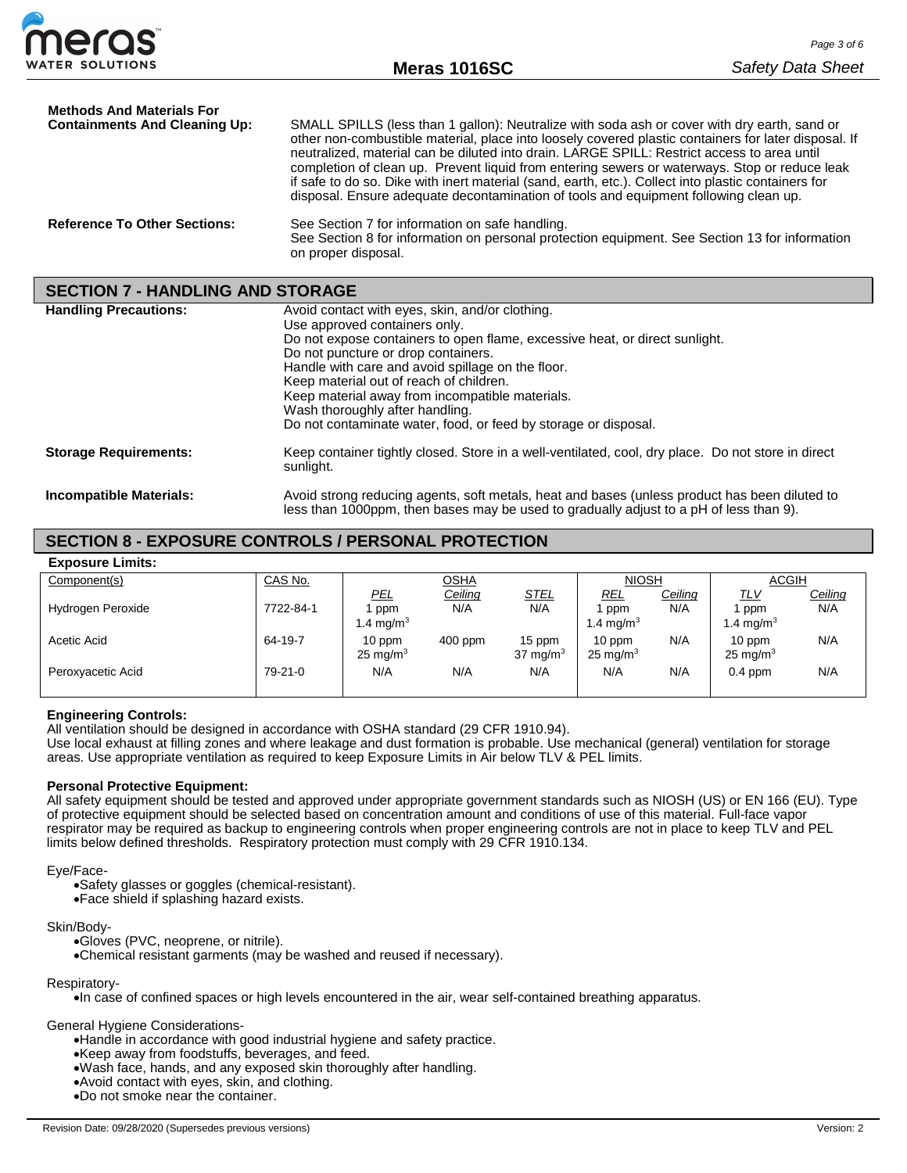

| <b>Methods And Materials For</b><br><b>Containments And Cleaning Up:</b> | SMALL SPILLS (less than 1 gallon): Neutralize with soda ash or cover with dry earth, sand or<br>other non-combustible material, place into loosely covered plastic containers for later disposal. If<br>neutralized, material can be diluted into drain. LARGE SPILL: Restrict access to area until |
|--------------------------------------------------------------------------|-----------------------------------------------------------------------------------------------------------------------------------------------------------------------------------------------------------------------------------------------------------------------------------------------------|
|                                                                          | completion of clean up. Prevent liquid from entering sewers or waterways. Stop or reduce leak<br>if safe to do so. Dike with inert material (sand, earth, etc.). Collect into plastic containers for<br>disposal. Ensure adequate decontamination of tools and equipment following clean up.        |
| <b>Reference To Other Sections:</b>                                      | See Section 7 for information on safe handling.<br>See Section 8 for information on personal protection equipment. See Section 13 for information<br>on proper disposal.                                                                                                                            |

# **SECTION 7 - HANDLING AND STORAGE**

| <b>Handling Precautions:</b>   | Avoid contact with eyes, skin, and/or clothing.<br>Use approved containers only.<br>Do not expose containers to open flame, excessive heat, or direct sunlight.<br>Do not puncture or drop containers.<br>Handle with care and avoid spillage on the floor.<br>Keep material out of reach of children.<br>Keep material away from incompatible materials.<br>Wash thoroughly after handling.<br>Do not contaminate water, food, or feed by storage or disposal. |
|--------------------------------|-----------------------------------------------------------------------------------------------------------------------------------------------------------------------------------------------------------------------------------------------------------------------------------------------------------------------------------------------------------------------------------------------------------------------------------------------------------------|
| <b>Storage Requirements:</b>   | Keep container tightly closed. Store in a well-ventilated, cool, dry place. Do not store in direct<br>sunlight.                                                                                                                                                                                                                                                                                                                                                 |
| <b>Incompatible Materials:</b> | Avoid strong reducing agents, soft metals, heat and bases (unless product has been diluted to<br>less than 1000ppm, then bases may be used to gradually adjust to a pH of less than 9).                                                                                                                                                                                                                                                                         |

# **SECTION 8 - EXPOSURE CONTROLS / PERSONAL PROTECTION**

| CAS No.   |                     |           |             | <b>NIOSH</b>        |         | <b>ACGIH</b>        |                |
|-----------|---------------------|-----------|-------------|---------------------|---------|---------------------|----------------|
|           | PEL.                | Ceiling   | <b>STEL</b> | <u>REL</u>          | Ceiling | <u>TLV</u>          | <u>Ceiling</u> |
| 7722-84-1 | ppm                 | N/A       | N/A         | l ppm               | N/A     | ppm                 | N/A            |
|           | 1.4 mg/m $^3$       |           |             | 1.4 mg/m $^3\,$     |         | 1.4 mg/m $3$        |                |
| 64-19-7   | 10 ppm              | $400$ ppm | 15 ppm      | 10 ppm              | N/A     | 10 ppm              | N/A            |
|           | $25 \text{ mg/m}^3$ |           | 37 mg/m $3$ | $25 \text{ mg/m}^3$ |         | $25 \text{ mg/m}^3$ |                |
| $79-21-0$ | N/A                 | N/A       | N/A         | N/A                 |         |                     | N/A            |
|           |                     |           |             |                     |         |                     |                |
|           |                     |           | <u>OSHA</u> |                     |         | N/A                 | $0.4$ ppm      |

#### **Engineering Controls:**

All ventilation should be designed in accordance with OSHA standard (29 CFR 1910.94).

Use local exhaust at filling zones and where leakage and dust formation is probable. Use mechanical (general) ventilation for storage areas. Use appropriate ventilation as required to keep Exposure Limits in Air below TLV & PEL limits.

#### **Personal Protective Equipment:**

All safety equipment should be tested and approved under appropriate government standards such as NIOSH (US) or EN 166 (EU). Type of protective equipment should be selected based on concentration amount and conditions of use of this material. Full-face vapor respirator may be required as backup to engineering controls when proper engineering controls are not in place to keep TLV and PEL limits below defined thresholds. Respiratory protection must comply with 29 CFR 1910.134.

#### Eye/Face-

•Safety glasses or goggles (chemical-resistant).

•Face shield if splashing hazard exists.

Skin/Body-

•Gloves (PVC, neoprene, or nitrile).

•Chemical resistant garments (may be washed and reused if necessary).

Respiratory-

•In case of confined spaces or high levels encountered in the air, wear self-contained breathing apparatus.

General Hygiene Considerations-

•Handle in accordance with good industrial hygiene and safety practice.

•Keep away from foodstuffs, beverages, and feed.

•Wash face, hands, and any exposed skin thoroughly after handling.

•Avoid contact with eyes, skin, and clothing.

•Do not smoke near the container.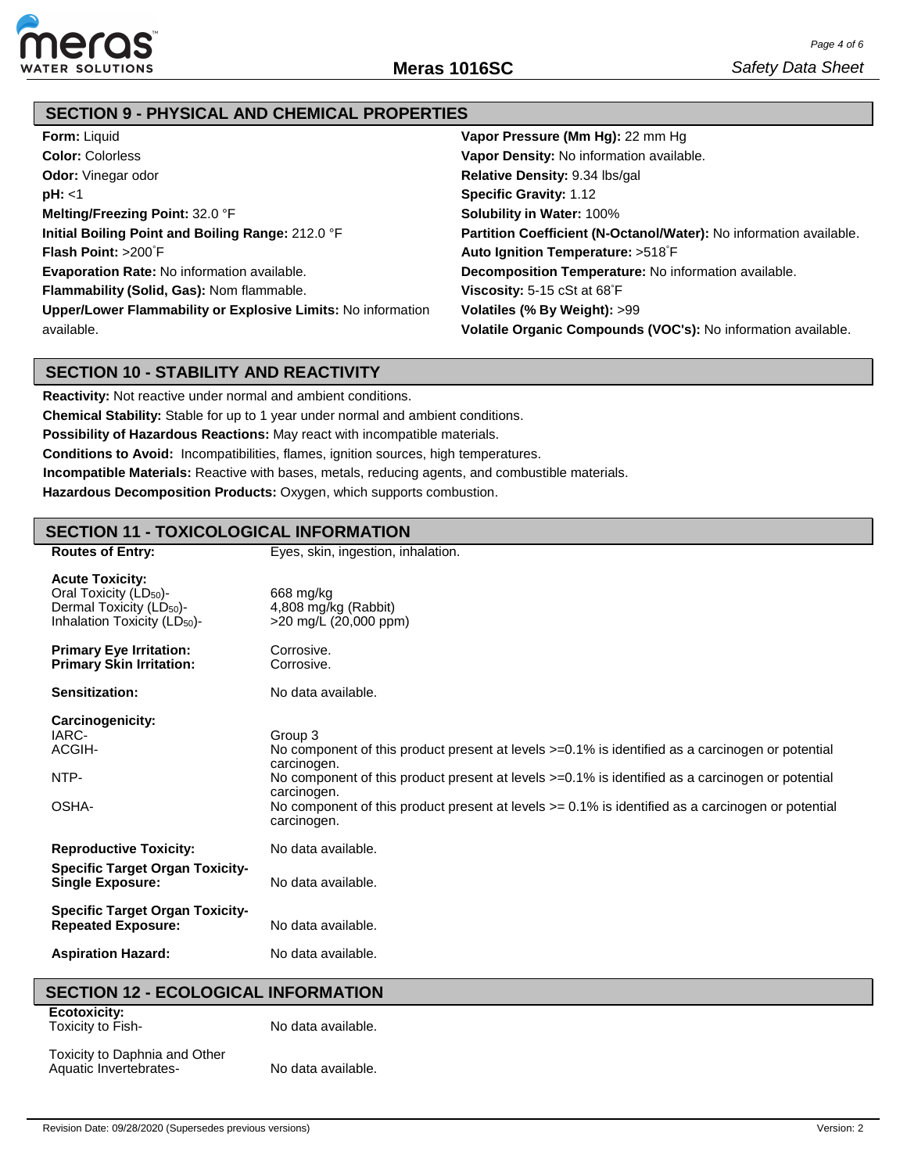

# **SECTION 9 - PHYSICAL AND CHEMICAL PROPERTIES**

| <b>Form: Liquid</b>                                          | Vapor Pressure (Mm Hg): 22 mm Hg                                   |
|--------------------------------------------------------------|--------------------------------------------------------------------|
| <b>Color: Colorless</b>                                      | Vapor Density: No information available.                           |
| <b>Odor:</b> Vinegar odor                                    | Relative Density: 9.34 lbs/gal                                     |
| pH: < 1                                                      | <b>Specific Gravity: 1.12</b>                                      |
| Melting/Freezing Point: 32.0 °F                              | <b>Solubility in Water: 100%</b>                                   |
| Initial Boiling Point and Boiling Range: 212.0 °F            | Partition Coefficient (N-Octanol/Water): No information available. |
| <b>Flash Point:</b> $>200^{\circ}$ F                         | Auto Ignition Temperature: >518°F                                  |
| <b>Evaporation Rate: No information available.</b>           | Decomposition Temperature: No information available.               |
| Flammability (Solid, Gas): Nom flammable.                    | <b>Viscosity:</b> 5-15 cSt at $68^\circ$ F                         |
| Upper/Lower Flammability or Explosive Limits: No information | Volatiles (% By Weight): >99                                       |
| available.                                                   | Volatile Organic Compounds (VOC's): No information available.      |

# **SECTION 10 - STABILITY AND REACTIVITY**

**Reactivity:** Not reactive under normal and ambient conditions.

**Chemical Stability:** Stable for up to 1 year under normal and ambient conditions.

**Possibility of Hazardous Reactions:** May react with incompatible materials.

**Conditions to Avoid:** Incompatibilities, flames, ignition sources, high temperatures.

**Incompatible Materials:** Reactive with bases, metals, reducing agents, and combustible materials.

**Hazardous Decomposition Products:** Oxygen, which supports combustion.

# **SECTION 11 - TOXICOLOGICAL INFORMATION**

| <b>Routes of Entry:</b>                                                                                                                          | Eyes, skin, ingestion, inhalation.                                                                                                                                                                                                                                                                                                                                          |
|--------------------------------------------------------------------------------------------------------------------------------------------------|-----------------------------------------------------------------------------------------------------------------------------------------------------------------------------------------------------------------------------------------------------------------------------------------------------------------------------------------------------------------------------|
| <b>Acute Toxicity:</b><br>Oral Toxicity (LD <sub>50</sub> )-<br>Dermal Toxicity (LD <sub>50</sub> )-<br>Inhalation Toxicity (LD <sub>50</sub> )- | 668 mg/kg<br>4,808 mg/kg (Rabbit)<br>>20 mg/L (20,000 ppm)                                                                                                                                                                                                                                                                                                                  |
| <b>Primary Eye Irritation:</b><br><b>Primary Skin Irritation:</b>                                                                                | Corrosive.<br>Corrosive.                                                                                                                                                                                                                                                                                                                                                    |
| Sensitization:                                                                                                                                   | No data available.                                                                                                                                                                                                                                                                                                                                                          |
| Carcinogenicity:<br>IARC-<br>ACGIH-<br>NTP-<br>OSHA-                                                                                             | Group 3<br>No component of this product present at levels >=0.1% is identified as a carcinogen or potential<br>carcinogen.<br>No component of this product present at levels >=0.1% is identified as a carcinogen or potential<br>carcinogen.<br>No component of this product present at levels $\epsilon$ = 0.1% is identified as a carcinogen or potential<br>carcinogen. |
| <b>Reproductive Toxicity:</b>                                                                                                                    | No data available.                                                                                                                                                                                                                                                                                                                                                          |
| <b>Specific Target Organ Toxicity-</b><br><b>Single Exposure:</b>                                                                                | No data available.                                                                                                                                                                                                                                                                                                                                                          |
| <b>Specific Target Organ Toxicity-</b><br><b>Repeated Exposure:</b>                                                                              | No data available.                                                                                                                                                                                                                                                                                                                                                          |
| <b>Aspiration Hazard:</b>                                                                                                                        | No data available.                                                                                                                                                                                                                                                                                                                                                          |
| SECTION 12 - ECOLOGICAL INEOPMATION                                                                                                              |                                                                                                                                                                                                                                                                                                                                                                             |

### **SECTION 12 - ECOLOGICAL INFORMATION**

**Ecotoxicity:** Toxicity to Fish-

No data available.

Toxicity to Daphnia and Other Aquatic Invertebrates-

No data available.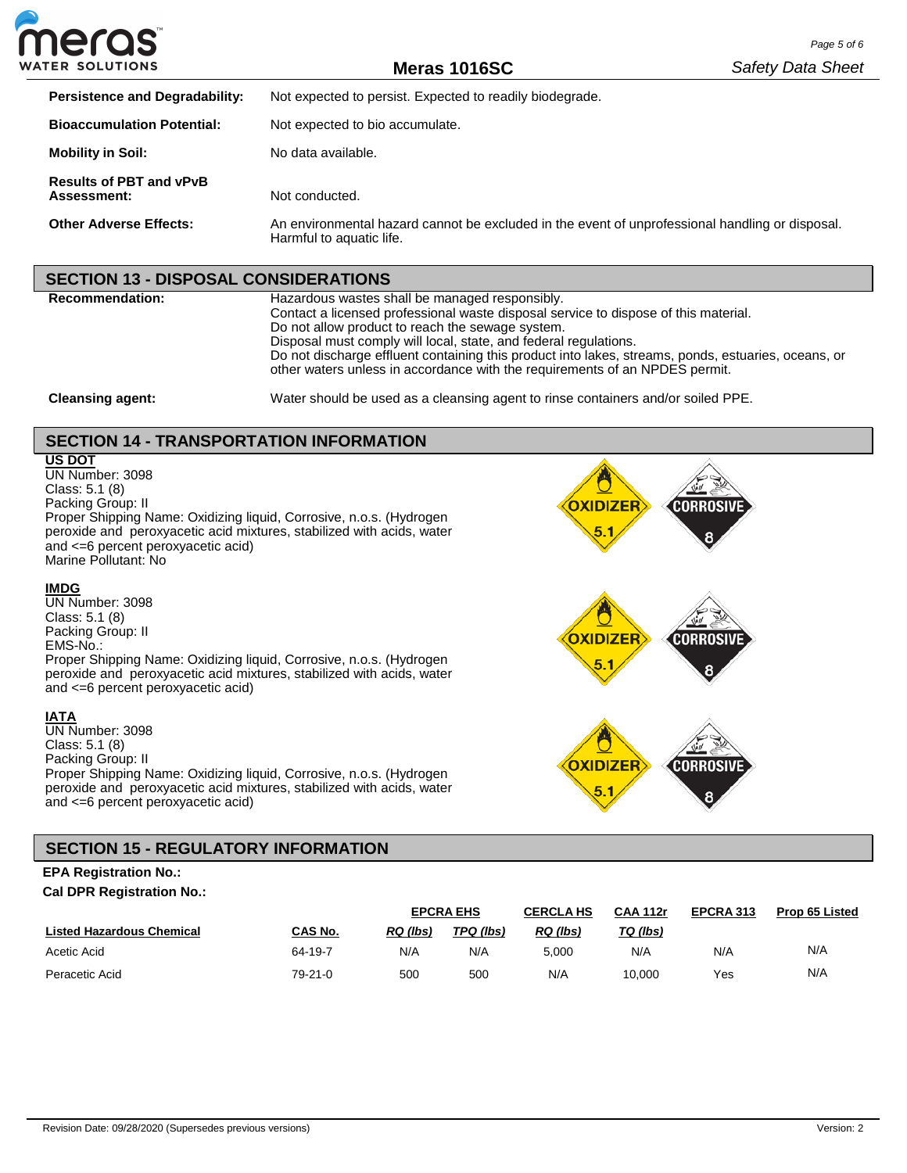

**Meras 1016SC**

| <b>Persistence and Degradability:</b>         | Not expected to persist. Expected to readily biodegrade.                                                                    |
|-----------------------------------------------|-----------------------------------------------------------------------------------------------------------------------------|
| <b>Bioaccumulation Potential:</b>             | Not expected to bio accumulate.                                                                                             |
| <b>Mobility in Soil:</b>                      | No data available.                                                                                                          |
| <b>Results of PBT and vPvB</b><br>Assessment: | Not conducted.                                                                                                              |
| <b>Other Adverse Effects:</b>                 | An environmental hazard cannot be excluded in the event of unprofessional handling or disposal.<br>Harmful to aquatic life. |

### **SECTION 13 - DISPOSAL CONSIDERATIONS**

**Recommendation:** Hazardous wastes shall be managed responsibly. Contact a licensed professional waste disposal service to dispose of this material. Do not allow product to reach the sewage system. Disposal must comply will local, state, and federal regulations. Do not discharge effluent containing this product into lakes, streams, ponds, estuaries, oceans, or other waters unless in accordance with the requirements of an NPDES permit.

**Cleansing agent:** Water should be used as a cleansing agent to rinse containers and/or soiled PPE.

# **SECTION 14 - TRANSPORTATION INFORMATION**

#### **US DOT**

UN Number: 3098 Class: 5.1 (8) Packing Group: II Proper Shipping Name: Oxidizing liquid, Corrosive, n.o.s. (Hydrogen peroxide and peroxyacetic acid mixtures, stabilized with acids, water and <=6 percent peroxyacetic acid) Marine Pollutant: No



# **IMDG**

UN Number: 3098 Class: 5.1 (8) Packing Group: II EMS-No.: Proper Shipping Name: Oxidizing liquid, Corrosive, n.o.s. (Hydrogen peroxide and peroxyacetic acid mixtures, stabilized with acids, water and <=6 percent peroxyacetic acid)

#### **IATA**

UN Number: 3098 Class: 5.1 (8) Packing Group: II Proper Shipping Name: Oxidizing liquid, Corrosive, n.o.s. (Hydrogen peroxide and peroxyacetic acid mixtures, stabilized with acids, water and <=6 percent peroxyacetic acid)



**OXIDIZER** 5.1

# **SECTION 15 - REGULATORY INFORMATION**

### **EPA Registration No.: Cal DPR Registration No.:**

| -                                |         | <b>EPCRA EHS</b> |           | <b>CAA 112r</b><br><b>CERCLA HS</b> |          | EPCRA 313 | <b>Prop 65 Listed</b> |
|----------------------------------|---------|------------------|-----------|-------------------------------------|----------|-----------|-----------------------|
| <b>Listed Hazardous Chemical</b> | CAS No. | <b>RQ</b> (lbs)  | TPQ (lbs) | RQ (lbs)                            | TQ (lbs) |           |                       |
| Acetic Acid                      | 64-19-7 | N/A              | N/A       | 5.000                               | N/A      | N/A       | N/A                   |
| Peracetic Acid                   | 79-21-0 | 500              | 500       | N/A                                 | 10.000   | Yes       | N/A                   |